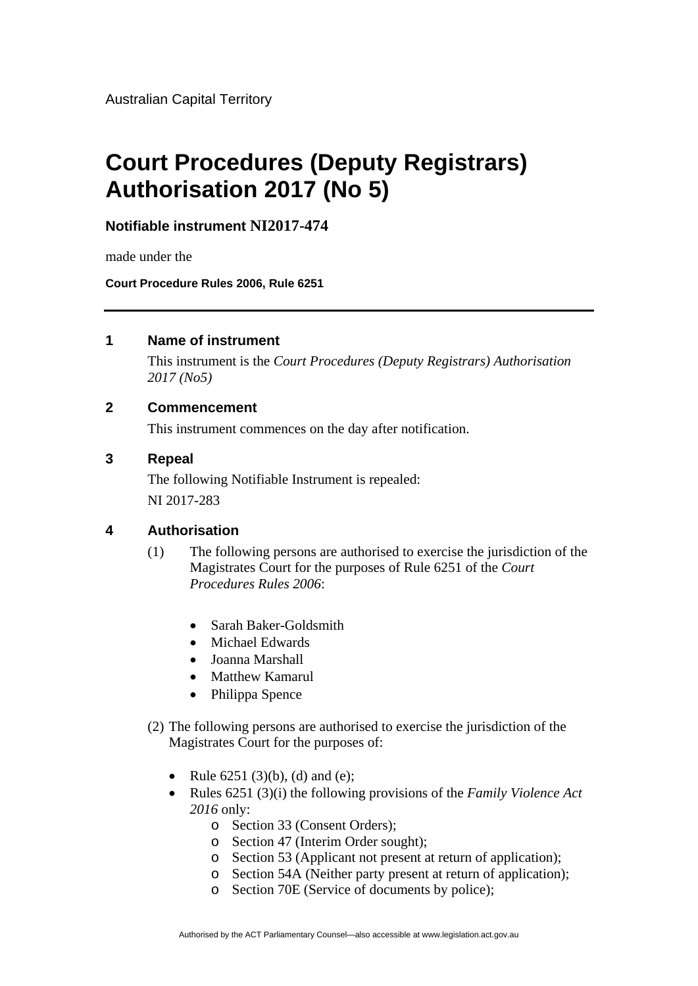Australian Capital Territory

# **Court Procedures (Deputy Registrars) Authorisation 2017 (No 5)**

**Notifiable instrument NI2017-474**

made under the

**Court Procedure Rules 2006, Rule 6251**

## **1 Name of instrument**

This instrument is the *Court Procedures (Deputy Registrars) Authorisation 2017 (No5)* 

## **2 Commencement**

This instrument commences on the day after notification.

#### **3 Repeal**

The following Notifiable Instrument is repealed: NI 2017-283

## **4 Authorisation**

- (1) The following persons are authorised to exercise the jurisdiction of the Magistrates Court for the purposes of Rule 6251 of the *Court Procedures Rules 2006*:
	- Sarah Baker-Goldsmith
	- Michael Edwards
	- Joanna Marshall
	- Matthew Kamarul
	- Philippa Spence
- (2) The following persons are authorised to exercise the jurisdiction of the Magistrates Court for the purposes of:
	- Rule  $6251 (3)(b)$ , (d) and (e);
	- Rules 6251 (3)(i) the following provisions of the *Family Violence Act 2016* only:
		- o Section 33 (Consent Orders);
		- o Section 47 (Interim Order sought);
		- o Section 53 (Applicant not present at return of application);
		- o Section 54A (Neither party present at return of application);
		- o Section 70E (Service of documents by police);